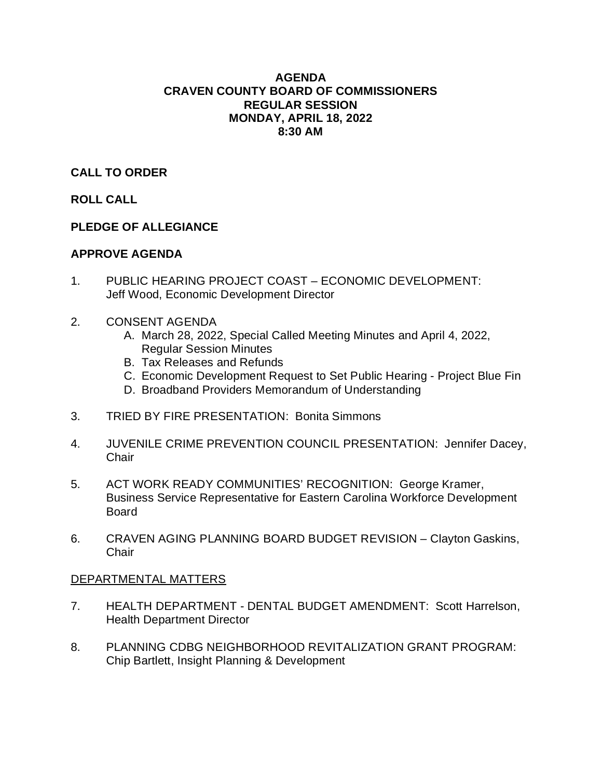# **AGENDA CRAVEN COUNTY BOARD OF COMMISSIONERS REGULAR SESSION MONDAY, APRIL 18, 2022 8:30 AM**

# **CALL TO ORDER**

# **ROLL CALL**

# **PLEDGE OF ALLEGIANCE**

# **APPROVE AGENDA**

- 1. PUBLIC HEARING PROJECT COAST ECONOMIC DEVELOPMENT: Jeff Wood, Economic Development Director
- 2. CONSENT AGENDA
	- A. March 28, 2022, Special Called Meeting Minutes and April 4, 2022, Regular Session Minutes
	- B. Tax Releases and Refunds
	- C. Economic Development Request to Set Public Hearing Project Blue Fin
	- D. Broadband Providers Memorandum of Understanding
- 3. TRIED BY FIRE PRESENTATION: Bonita Simmons
- 4. JUVENILE CRIME PREVENTION COUNCIL PRESENTATION: Jennifer Dacey, **Chair**
- 5. ACT WORK READY COMMUNITIES' RECOGNITION: George Kramer, Business Service Representative for Eastern Carolina Workforce Development Board
- 6. CRAVEN AGING PLANNING BOARD BUDGET REVISION Clayton Gaskins, **Chair**

# DEPARTMENTAL MATTERS

- 7. HEALTH DEPARTMENT DENTAL BUDGET AMENDMENT: Scott Harrelson, Health Department Director
- 8. PLANNING CDBG NEIGHBORHOOD REVITALIZATION GRANT PROGRAM: Chip Bartlett, Insight Planning & Development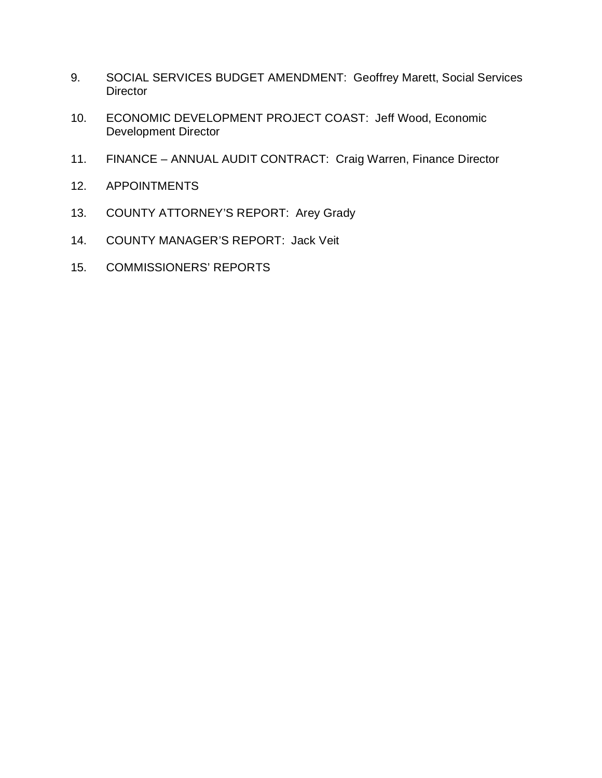- 9. SOCIAL SERVICES BUDGET AMENDMENT: Geoffrey Marett, Social Services **Director**
- 10. ECONOMIC DEVELOPMENT PROJECT COAST: Jeff Wood, Economic Development Director
- 11. FINANCE ANNUAL AUDIT CONTRACT: Craig Warren, Finance Director
- 12. APPOINTMENTS
- 13. COUNTY ATTORNEY'S REPORT: Arey Grady
- 14. COUNTY MANAGER'S REPORT: Jack Veit
- 15. COMMISSIONERS' REPORTS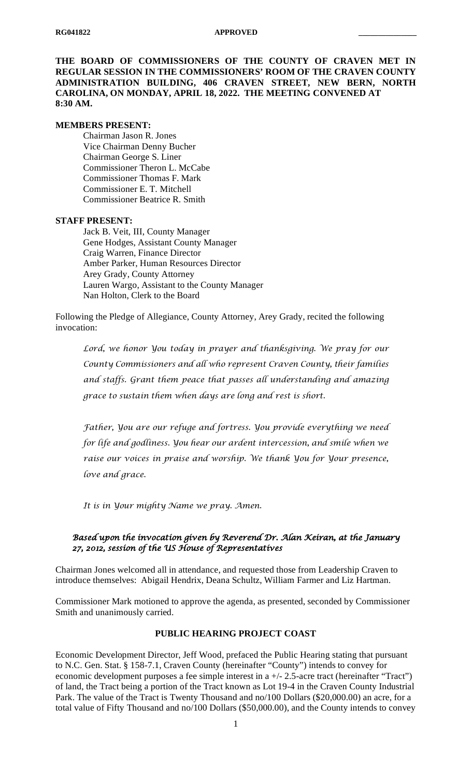**THE BOARD OF COMMISSIONERS OF THE COUNTY OF CRAVEN MET IN REGULAR SESSION IN THE COMMISSIONERS' ROOM OF THE CRAVEN COUNTY ADMINISTRATION BUILDING, 406 CRAVEN STREET, NEW BERN, NORTH CAROLINA, ON MONDAY, APRIL 18, 2022. THE MEETING CONVENED AT 8:30 AM.**

#### **MEMBERS PRESENT:**

Chairman Jason R. Jones Vice Chairman Denny Bucher Chairman George S. Liner Commissioner Theron L. McCabe Commissioner Thomas F. Mark Commissioner E. T. Mitchell Commissioner Beatrice R. Smith

#### **STAFF PRESENT:**

Jack B. Veit, III, County Manager Gene Hodges, Assistant County Manager Craig Warren, Finance Director Amber Parker, Human Resources Director Arey Grady, County Attorney Lauren Wargo, Assistant to the County Manager Nan Holton, Clerk to the Board

Following the Pledge of Allegiance, County Attorney, Arey Grady, recited the following invocation:

*Lord, we honor You today in prayer and thanksgiving. We pray for our County Commissioners and all who represent Craven County, their families and staffs. Grant them peace that passes all understanding and amazing grace to sustain them when days are long and rest is short.*

*Father, You are our refuge and fortress. You provide everything we need for life and godliness. You hear our ardent intercession, and smile when we raise our voices in praise and worship. We thank You for Your presence, love and grace.*

*It is in Your mighty Name we pray. Amen.*

#### *Based upon the invocation given by Reverend Dr. Alan Keiran, at the January 27, 2012, session of the US House of Representatives*

Chairman Jones welcomed all in attendance, and requested those from Leadership Craven to introduce themselves: Abigail Hendrix, Deana Schultz, William Farmer and Liz Hartman.

Commissioner Mark motioned to approve the agenda, as presented, seconded by Commissioner Smith and unanimously carried.

# **PUBLIC HEARING PROJECT COAST**

Economic Development Director, Jeff Wood, prefaced the Public Hearing stating that pursuant to N.C. Gen. Stat. § 158-7.1, Craven County (hereinafter "County") intends to convey for economic development purposes a fee simple interest in a +/- 2.5-acre tract (hereinafter "Tract") of land, the Tract being a portion of the Tract known as Lot 19-4 in the Craven County Industrial Park. The value of the Tract is Twenty Thousand and no/100 Dollars (\$20,000.00) an acre, for a total value of Fifty Thousand and no/100 Dollars (\$50,000.00), and the County intends to convey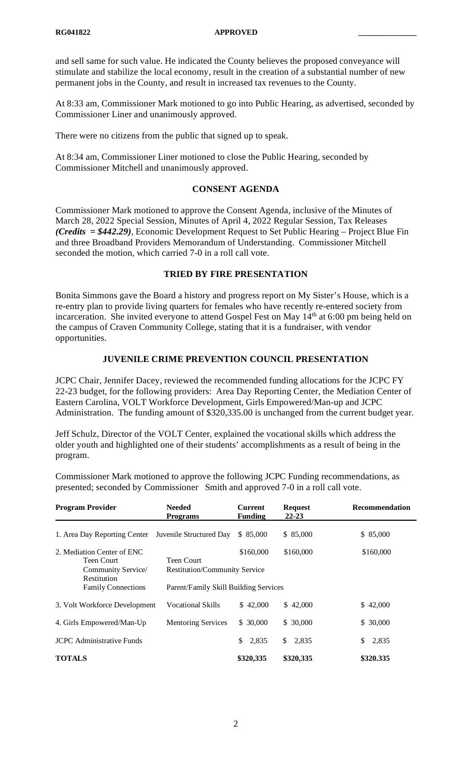and sell same for such value. He indicated the County believes the proposed conveyance will stimulate and stabilize the local economy, result in the creation of a substantial number of new permanent jobs in the County, and result in increased tax revenues to the County.

At 8:33 am, Commissioner Mark motioned to go into Public Hearing, as advertised, seconded by Commissioner Liner and unanimously approved.

There were no citizens from the public that signed up to speak.

At 8:34 am, Commissioner Liner motioned to close the Public Hearing, seconded by Commissioner Mitchell and unanimously approved.

# **CONSENT AGENDA**

Commissioner Mark motioned to approve the Consent Agenda, inclusive of the Minutes of March 28, 2022 Special Session, Minutes of April 4, 2022 Regular Session, Tax Releases *(Credits = \$442.29)*, Economic Development Request to Set Public Hearing – Project Blue Fin and three Broadband Providers Memorandum of Understanding. Commissioner Mitchell seconded the motion, which carried 7-0 in a roll call vote.

# **TRIED BY FIRE PRESENTATION**

Bonita Simmons gave the Board a history and progress report on My Sister's House, which is a re-entry plan to provide living quarters for females who have recently re-entered society from incarceration. She invited everyone to attend Gospel Fest on May 14<sup>th</sup> at 6:00 pm being held on the campus of Craven Community College, stating that it is a fundraiser, with vendor opportunities.

# **JUVENILE CRIME PREVENTION COUNCIL PRESENTATION**

JCPC Chair, Jennifer Dacey, reviewed the recommended funding allocations for the JCPC FY 22-23 budget, for the following providers: Area Day Reporting Center, the Mediation Center of Eastern Carolina, VOLT Workforce Development, Girls Empowered/Man-up and JCPC Administration. The funding amount of \$320,335.00 is unchanged from the current budget year.

Jeff Schulz, Director of the VOLT Center, explained the vocational skills which address the older youth and highlighted one of their students' accomplishments as a result of being in the program.

Commissioner Mark motioned to approve the following JCPC Funding recommendations, as presented; seconded by Commissioner Smith and approved 7-0 in a roll call vote.

| <b>Program Provider</b>                                        | <b>Needed</b><br><b>Programs</b>                   | <b>Current</b><br><b>Funding</b> | <b>Request</b><br>$22 - 23$ | Recommendation |
|----------------------------------------------------------------|----------------------------------------------------|----------------------------------|-----------------------------|----------------|
| 1. Area Day Reporting Center                                   | Juvenile Structured Day                            | \$ 85,000                        | \$85,000                    | \$85,000       |
| 2. Mediation Center of ENC<br>Teen Court<br>Community Service/ | Teen Court<br><b>Restitution/Community Service</b> | \$160,000                        | \$160,000                   | \$160,000      |
| Restitution<br><b>Family Connections</b>                       | Parent/Family Skill Building Services              |                                  |                             |                |
| 3. Volt Workforce Development                                  | Vocational Skills                                  | \$42,000                         | \$42,000                    | \$42,000       |
| 4. Girls Empowered/Man-Up                                      | <b>Mentoring Services</b>                          | \$30,000                         | \$30,000                    | \$30,000       |
| <b>JCPC</b> Administrative Funds                               |                                                    | 2,835<br>\$                      | \$<br>2,835                 | 2,835<br>\$    |
| <b>TOTALS</b>                                                  |                                                    | \$320,335                        | \$320,335                   | \$320.335      |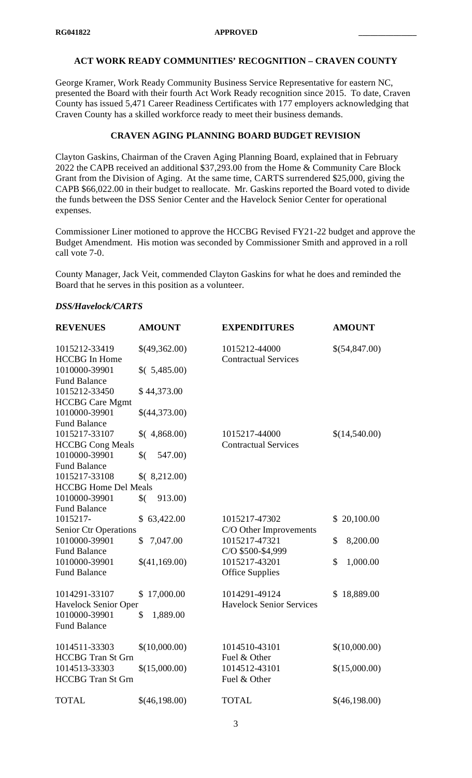# **ACT WORK READY COMMUNITIES' RECOGNITION – CRAVEN COUNTY**

George Kramer, Work Ready Community Business Service Representative for eastern NC, presented the Board with their fourth Act Work Ready recognition since 2015. To date, Craven County has issued 5,471 Career Readiness Certificates with 177 employers acknowledging that Craven County has a skilled workforce ready to meet their business demands.

# **CRAVEN AGING PLANNING BOARD BUDGET REVISION**

Clayton Gaskins, Chairman of the Craven Aging Planning Board, explained that in February 2022 the CAPB received an additional \$37,293.00 from the Home & Community Care Block Grant from the Division of Aging. At the same time, CARTS surrendered \$25,000, giving the CAPB \$66,022.00 in their budget to reallocate. Mr. Gaskins reported the Board voted to divide the funds between the DSS Senior Center and the Havelock Senior Center for operational expenses.

Commissioner Liner motioned to approve the HCCBG Revised FY21-22 budget and approve the Budget Amendment. His motion was seconded by Commissioner Smith and approved in a roll call vote 7-0.

County Manager, Jack Veit, commended Clayton Gaskins for what he does and reminded the Board that he serves in this position as a volunteer.

#### *DSS/Havelock/CARTS*

| <b>REVENUES</b>                              | <b>AMOUNT</b>           | <b>EXPENDITURES</b>                              | <b>AMOUNT</b>  |
|----------------------------------------------|-------------------------|--------------------------------------------------|----------------|
| 1015212-33419<br><b>HCCBG</b> In Home        | \$(49,362.00)           | 1015212-44000<br><b>Contractual Services</b>     | \$(54,847.00)  |
| 1010000-39901<br><b>Fund Balance</b>         | (5,485.00)              |                                                  |                |
| 1015212-33450<br><b>HCCBG</b> Care Mgmt      | \$44,373.00             |                                                  |                |
| 1010000-39901<br><b>Fund Balance</b>         | \$(44,373.00)           |                                                  |                |
| 1015217-33107<br><b>HCCBG</b> Cong Meals     | (4,868.00)              | 1015217-44000<br><b>Contractual Services</b>     | \$(14,540.00)  |
| 1010000-39901<br><b>Fund Balance</b>         | 547.00)<br>$\sqrt[6]{}$ |                                                  |                |
| 1015217-33108<br><b>HCCBG</b> Home Del Meals | (8,212.00)              |                                                  |                |
| 1010000-39901<br><b>Fund Balance</b>         | 913.00)<br>$\sqrt[6]{}$ |                                                  |                |
| 1015217-<br><b>Senior Ctr Operations</b>     | \$63,422.00             | 1015217-47302<br>C/O Other Improvements          | \$20,100.00    |
| 1010000-39901<br><b>Fund Balance</b>         | 7,047.00<br>\$          | 1015217-47321<br>C/O \$500-\$4,999               | \$<br>8,200.00 |
| 1010000-39901<br><b>Fund Balance</b>         | \$(41,169.00)           | 1015217-43201<br><b>Office Supplies</b>          | \$<br>1,000.00 |
| 1014291-33107<br><b>Havelock Senior Oper</b> | 17,000.00<br>\$         | 1014291-49124<br><b>Havelock Senior Services</b> | \$18,889.00    |
| 1010000-39901<br><b>Fund Balance</b>         | \$<br>1,889.00          |                                                  |                |
| 1014511-33303<br><b>HCCBG</b> Tran St Grn    | \$(10,000.00)           | 1014510-43101<br>Fuel & Other                    | \$(10,000.00)  |
| 1014513-33303<br><b>HCCBG</b> Tran St Grn    | \$(15,000.00)           | 1014512-43101<br>Fuel & Other                    | \$(15,000.00)  |
| <b>TOTAL</b>                                 | \$(46,198.00)           | <b>TOTAL</b>                                     | \$(46,198.00)  |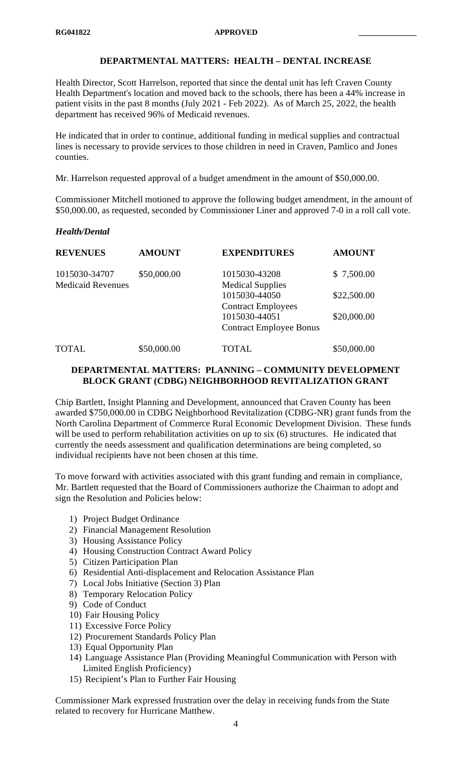# **DEPARTMENTAL MATTERS: HEALTH – DENTAL INCREASE**

Health Director, Scott Harrelson, reported that since the dental unit has left Craven County Health Department's location and moved back to the schools, there has been a 44% increase in patient visits in the past 8 months (July 2021 - Feb 2022). As of March 25, 2022, the health department has received 96% of Medicaid revenues.

He indicated that in order to continue, additional funding in medical supplies and contractual lines is necessary to provide services to those children in need in Craven, Pamlico and Jones counties.

Mr. Harrelson requested approval of a budget amendment in the amount of \$50,000.00.

Commissioner Mitchell motioned to approve the following budget amendment, in the amount of \$50,000.00, as requested, seconded by Commissioner Liner and approved 7-0 in a roll call vote.

#### *Health/Dental*

| <b>REVENUES</b>                           | <b>AMOUNT</b> | <b>EXPENDITURES</b>                                                                           | <b>AMOUNT</b>              |
|-------------------------------------------|---------------|-----------------------------------------------------------------------------------------------|----------------------------|
| 1015030-34707<br><b>Medicaid Revenues</b> | \$50,000.00   | 1015030-43208<br><b>Medical Supplies</b>                                                      | \$7,500.00                 |
|                                           |               | 1015030-44050<br><b>Contract Employees</b><br>1015030-44051<br><b>Contract Employee Bonus</b> | \$22,500.00<br>\$20,000.00 |
| <b>TOTAL</b>                              | \$50,000.00   | TOTAL                                                                                         | \$50,000.00                |

#### **DEPARTMENTAL MATTERS: PLANNING – COMMUNITY DEVELOPMENT BLOCK GRANT (CDBG) NEIGHBORHOOD REVITALIZATION GRANT**

Chip Bartlett, Insight Planning and Development, announced that Craven County has been awarded \$750,000.00 in CDBG Neighborhood Revitalization (CDBG-NR) grant funds from the North Carolina Department of Commerce Rural Economic Development Division. These funds will be used to perform rehabilitation activities on up to six (6) structures. He indicated that currently the needs assessment and qualification determinations are being completed, so individual recipients have not been chosen at this time.

To move forward with activities associated with this grant funding and remain in compliance, Mr. Bartlett requested that the Board of Commissioners authorize the Chairman to adopt and sign the Resolution and Policies below:

- 1) Project Budget Ordinance
- 2) Financial Management Resolution
- 3) Housing Assistance Policy
- 4) Housing Construction Contract Award Policy
- 5) Citizen Participation Plan
- 6) Residential Anti-displacement and Relocation Assistance Plan
- 7) Local Jobs Initiative (Section 3) Plan
- 8) Temporary Relocation Policy
- 9) Code of Conduct
- 10) Fair Housing Policy
- 11) Excessive Force Policy
- 12) Procurement Standards Policy Plan
- 13) Equal Opportunity Plan
- 14) Language Assistance Plan (Providing Meaningful Communication with Person with Limited English Proficiency)
- 15) Recipient's Plan to Further Fair Housing

Commissioner Mark expressed frustration over the delay in receiving funds from the State related to recovery for Hurricane Matthew.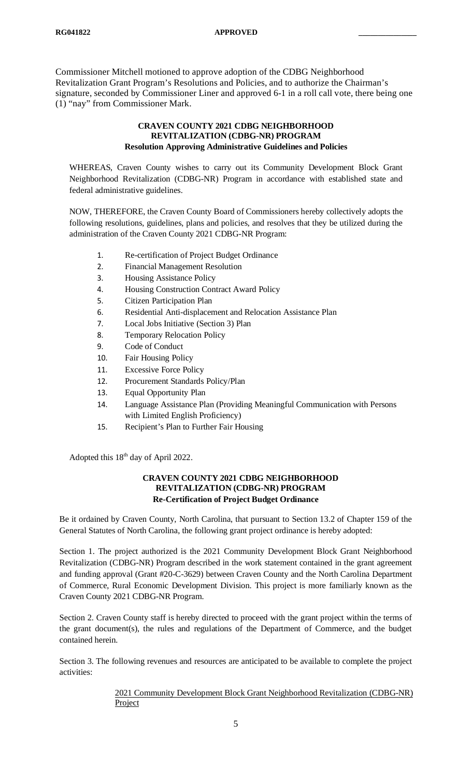Commissioner Mitchell motioned to approve adoption of the CDBG Neighborhood Revitalization Grant Program's Resolutions and Policies, and to authorize the Chairman's signature, seconded by Commissioner Liner and approved 6-1 in a roll call vote, there being one (1) "nay" from Commissioner Mark.

#### **CRAVEN COUNTY 2021 CDBG NEIGHBORHOOD REVITALIZATION (CDBG-NR) PROGRAM Resolution Approving Administrative Guidelines and Policies**

WHEREAS, Craven County wishes to carry out its Community Development Block Grant Neighborhood Revitalization (CDBG-NR) Program in accordance with established state and federal administrative guidelines.

NOW, THEREFORE, the Craven County Board of Commissioners hereby collectively adopts the following resolutions, guidelines, plans and policies, and resolves that they be utilized during the administration of the Craven County 2021 CDBG-NR Program:

- 1. Re-certification of Project Budget Ordinance
- 2. Financial Management Resolution
- 3. Housing Assistance Policy
- 4. Housing Construction Contract Award Policy
- 5. Citizen Participation Plan
- 6. Residential Anti-displacement and Relocation Assistance Plan
- 7. Local Jobs Initiative (Section 3) Plan
- 8. Temporary Relocation Policy
- 9. Code of Conduct
- 10. Fair Housing Policy
- 11. Excessive Force Policy
- 12. Procurement Standards Policy/Plan
- 13. Equal Opportunity Plan
- 14. Language Assistance Plan (Providing Meaningful Communication with Persons with Limited English Proficiency)
- 15. Recipient's Plan to Further Fair Housing

Adopted this  $18<sup>th</sup>$  day of April 2022.

# **CRAVEN COUNTY 2021 CDBG NEIGHBORHOOD REVITALIZATION (CDBG-NR) PROGRAM Re-Certification of Project Budget Ordinance**

Be it ordained by Craven County, North Carolina, that pursuant to Section 13.2 of Chapter 159 of the General Statutes of North Carolina, the following grant project ordinance is hereby adopted:

Section 1. The project authorized is the 2021 Community Development Block Grant Neighborhood Revitalization (CDBG-NR) Program described in the work statement contained in the grant agreement and funding approval (Grant #20-C-3629) between Craven County and the North Carolina Department of Commerce, Rural Economic Development Division. This project is more familiarly known as the Craven County 2021 CDBG-NR Program.

Section 2. Craven County staff is hereby directed to proceed with the grant project within the terms of the grant document(s), the rules and regulations of the Department of Commerce, and the budget contained herein.

Section 3. The following revenues and resources are anticipated to be available to complete the project activities:

# 2021 Community Development Block Grant Neighborhood Revitalization (CDBG-NR) Project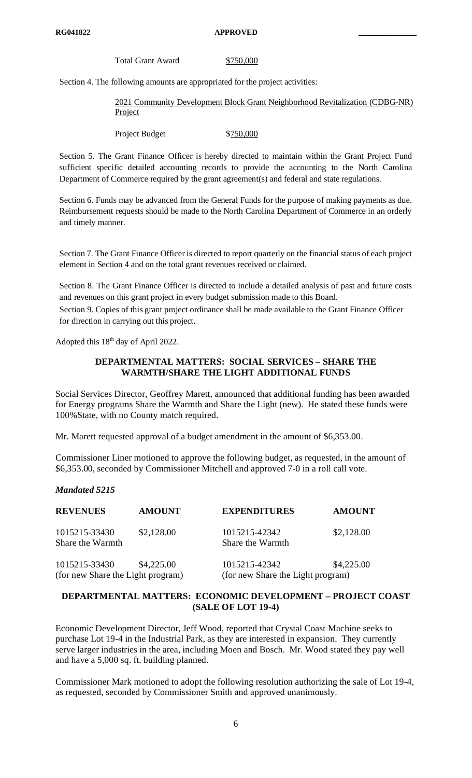Total Grant Award \$750,000

Section 4. The following amounts are appropriated for the project activities:

2021 Community Development Block Grant Neighborhood Revitalization (CDBG-NR) **Project** 

Project Budget \$750,000

Section 5. The Grant Finance Officer is hereby directed to maintain within the Grant Project Fund sufficient specific detailed accounting records to provide the accounting to the North Carolina Department of Commerce required by the grant agreement(s) and federal and state regulations.

Section 6. Funds may be advanced from the General Funds for the purpose of making payments as due. Reimbursement requests should be made to the North Carolina Department of Commerce in an orderly and timely manner.

Section 7. The Grant Finance Officer is directed to report quarterly on the financial status of each project element in Section 4 and on the total grant revenues received or claimed.

Section 8. The Grant Finance Officer is directed to include a detailed analysis of past and future costs and revenues on this grant project in every budget submission made to this Board.

Section 9. Copies of this grant project ordinance shall be made available to the Grant Finance Officer for direction in carrying out this project.

Adopted this 18<sup>th</sup> day of April 2022.

# **DEPARTMENTAL MATTERS: SOCIAL SERVICES – SHARE THE WARMTH/SHARE THE LIGHT ADDITIONAL FUNDS**

Social Services Director, Geoffrey Marett, announced that additional funding has been awarded for Energy programs Share the Warmth and Share the Light (new). He stated these funds were 100%State, with no County match required.

Mr. Marett requested approval of a budget amendment in the amount of \$6,353.00.

Commissioner Liner motioned to approve the following budget, as requested, in the amount of \$6,353.00, seconded by Commissioner Mitchell and approved 7-0 in a roll call vote.

# *Mandated 5215*

| <b>REVENUES</b>                                    | <b>AMOUNT</b> | <b>EXPENDITURES</b>                                | <b>AMOUNT</b> |
|----------------------------------------------------|---------------|----------------------------------------------------|---------------|
| 1015215-33430<br>Share the Warmth                  | \$2,128.00    | 1015215-42342<br>Share the Warmth                  | \$2,128.00    |
| 1015215-33430<br>(for new Share the Light program) | \$4,225.00    | 1015215-42342<br>(for new Share the Light program) | \$4,225.00    |

# **DEPARTMENTAL MATTERS: ECONOMIC DEVELOPMENT – PROJECT COAST (SALE OF LOT 19-4)**

Economic Development Director, Jeff Wood, reported that Crystal Coast Machine seeks to purchase Lot 19-4 in the Industrial Park, as they are interested in expansion. They currently serve larger industries in the area, including Moen and Bosch. Mr. Wood stated they pay well and have a 5,000 sq. ft. building planned.

Commissioner Mark motioned to adopt the following resolution authorizing the sale of Lot 19-4, as requested, seconded by Commissioner Smith and approved unanimously.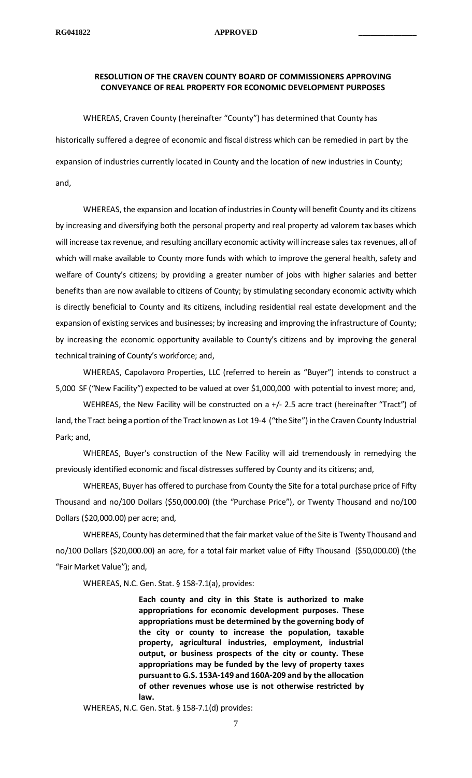# **RESOLUTION OF THE CRAVEN COUNTY BOARD OF COMMISSIONERS APPROVING CONVEYANCE OF REAL PROPERTY FOR ECONOMIC DEVELOPMENT PURPOSES**

WHEREAS, Craven County (hereinafter "County") has determined that County has historically suffered a degree of economic and fiscal distress which can be remedied in part by the expansion of industries currently located in County and the location of new industries in County; and,

WHEREAS, the expansion and location of industries in County will benefit County and its citizens by increasing and diversifying both the personal property and real property ad valorem tax bases which will increase tax revenue, and resulting ancillary economic activity will increase sales tax revenues, all of which will make available to County more funds with which to improve the general health, safety and welfare of County's citizens; by providing a greater number of jobs with higher salaries and better benefits than are now available to citizens of County; by stimulating secondary economic activity which is directly beneficial to County and its citizens, including residential real estate development and the expansion of existing services and businesses; by increasing and improving the infrastructure of County; by increasing the economic opportunity available to County's citizens and by improving the general technical training of County's workforce; and,

WHEREAS, Capolavoro Properties, LLC (referred to herein as "Buyer") intends to construct a 5,000 SF ("New Facility") expected to be valued at over \$1,000,000 with potential to invest more; and,

WEHREAS, the New Facility will be constructed on a +/- 2.5 acre tract (hereinafter "Tract") of land, the Tract being a portion of the Tract known as Lot 19-4 ("the Site") in the Craven County Industrial Park; and,

WHEREAS, Buyer's construction of the New Facility will aid tremendously in remedying the previously identified economic and fiscal distresses suffered by County and its citizens; and,

WHEREAS, Buyer has offered to purchase from County the Site for a total purchase price of Fifty Thousand and no/100 Dollars (\$50,000.00) (the "Purchase Price"), or Twenty Thousand and no/100 Dollars (\$20,000.00) per acre; and,

WHEREAS, County has determined that the fair market value of the Site is Twenty Thousand and no/100 Dollars (\$20,000.00) an acre, for a total fair market value of Fifty Thousand (\$50,000.00) (the "Fair Market Value"); and,

WHEREAS, N.C. Gen. Stat. § 158-7.1(a), provides:

**Each county and city in this State is authorized to make appropriations for economic development purposes. These appropriations must be determined by the governing body of the city or county to increase the population, taxable property, agricultural industries, employment, industrial output, or business prospects of the city or county. These appropriations may be funded by the levy of property taxes pursuant to G.S. 153A-149 and 160A-209 and by the allocation of other revenues whose use is not otherwise restricted by law.**

WHEREAS, N.C. Gen. Stat. § 158-7.1(d) provides: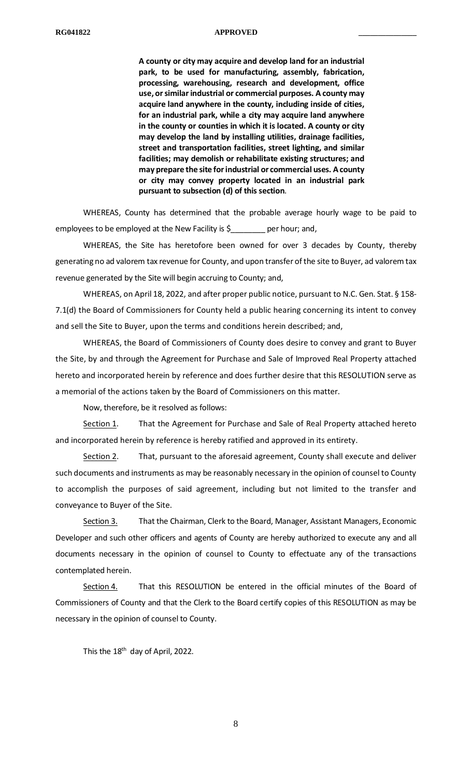**A county or city may acquire and develop land for an industrial park, to be used for manufacturing, assembly, fabrication, processing, warehousing, research and development, office use, or similar industrial or commercial purposes. A county may acquire land anywhere in the county, including inside of cities, for an industrial park, while a city may acquire land anywhere in the county or counties in which it is located. A county or city may develop the land by installing utilities, drainage facilities, street and transportation facilities, street lighting, and similar facilities; may demolish or rehabilitate existing structures; and may prepare the site for industrial or commercial uses. A county or city may convey property located in an industrial park pursuant to subsection (d) of this section**.

WHEREAS, County has determined that the probable average hourly wage to be paid to employees to be employed at the New Facility is \$\_\_\_\_\_\_\_\_ per hour; and,

WHEREAS, the Site has heretofore been owned for over 3 decades by County, thereby generating no ad valorem tax revenue for County, and upon transfer of the site to Buyer, ad valorem tax revenue generated by the Site will begin accruing to County; and,

WHEREAS, on April 18, 2022, and after proper public notice, pursuant to N.C. Gen. Stat. § 158- 7.1(d) the Board of Commissioners for County held a public hearing concerning its intent to convey and sell the Site to Buyer, upon the terms and conditions herein described; and,

WHEREAS, the Board of Commissioners of County does desire to convey and grant to Buyer the Site, by and through the Agreement for Purchase and Sale of Improved Real Property attached hereto and incorporated herein by reference and does further desire that this RESOLUTION serve as a memorial of the actions taken by the Board of Commissioners on this matter.

Now, therefore, be it resolved as follows:

Section 1. That the Agreement for Purchase and Sale of Real Property attached hereto and incorporated herein by reference is hereby ratified and approved in its entirety.

Section 2. That, pursuant to the aforesaid agreement, County shall execute and deliver such documents and instruments as may be reasonably necessary in the opinion of counsel to County to accomplish the purposes of said agreement, including but not limited to the transfer and conveyance to Buyer of the Site.

Section 3. That the Chairman, Clerk to the Board, Manager, Assistant Managers, Economic Developer and such other officers and agents of County are hereby authorized to execute any and all documents necessary in the opinion of counsel to County to effectuate any of the transactions contemplated herein.

Section 4. That this RESOLUTION be entered in the official minutes of the Board of Commissioners of County and that the Clerk to the Board certify copies of this RESOLUTION as may be necessary in the opinion of counsel to County.

This the 18<sup>th</sup> day of April, 2022.

8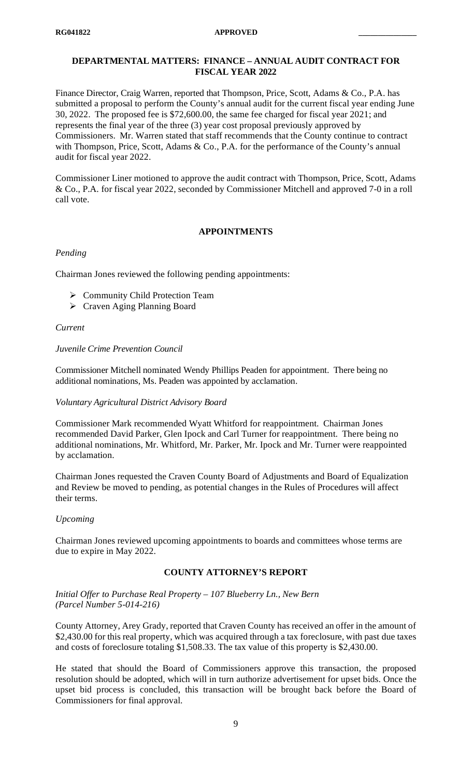# **DEPARTMENTAL MATTERS: FINANCE – ANNUAL AUDIT CONTRACT FOR FISCAL YEAR 2022**

Finance Director, Craig Warren, reported that Thompson, Price, Scott, Adams & Co., P.A. has submitted a proposal to perform the County's annual audit for the current fiscal year ending June 30, 2022. The proposed fee is \$72,600.00, the same fee charged for fiscal year 2021; and represents the final year of the three (3) year cost proposal previously approved by Commissioners. Mr. Warren stated that staff recommends that the County continue to contract with Thompson, Price, Scott, Adams & Co., P.A. for the performance of the County's annual audit for fiscal year 2022.

Commissioner Liner motioned to approve the audit contract with Thompson, Price, Scott, Adams & Co., P.A. for fiscal year 2022, seconded by Commissioner Mitchell and approved 7-0 in a roll call vote.

#### **APPOINTMENTS**

#### *Pending*

Chairman Jones reviewed the following pending appointments:

- ▶ Community Child Protection Team
- Craven Aging Planning Board

#### *Current*

#### *Juvenile Crime Prevention Council*

Commissioner Mitchell nominated Wendy Phillips Peaden for appointment. There being no additional nominations, Ms. Peaden was appointed by acclamation.

#### *Voluntary Agricultural District Advisory Board*

Commissioner Mark recommended Wyatt Whitford for reappointment. Chairman Jones recommended David Parker, Glen Ipock and Carl Turner for reappointment. There being no additional nominations, Mr. Whitford, Mr. Parker, Mr. Ipock and Mr. Turner were reappointed by acclamation.

Chairman Jones requested the Craven County Board of Adjustments and Board of Equalization and Review be moved to pending, as potential changes in the Rules of Procedures will affect their terms.

#### *Upcoming*

Chairman Jones reviewed upcoming appointments to boards and committees whose terms are due to expire in May 2022.

#### **COUNTY ATTORNEY'S REPORT**

*Initial Offer to Purchase Real Property – 107 Blueberry Ln., New Bern (Parcel Number 5-014-216)*

County Attorney, Arey Grady, reported that Craven County has received an offer in the amount of \$2,430.00 for this real property, which was acquired through a tax foreclosure, with past due taxes and costs of foreclosure totaling \$1,508.33. The tax value of this property is \$2,430.00.

He stated that should the Board of Commissioners approve this transaction, the proposed resolution should be adopted, which will in turn authorize advertisement for upset bids. Once the upset bid process is concluded, this transaction will be brought back before the Board of Commissioners for final approval.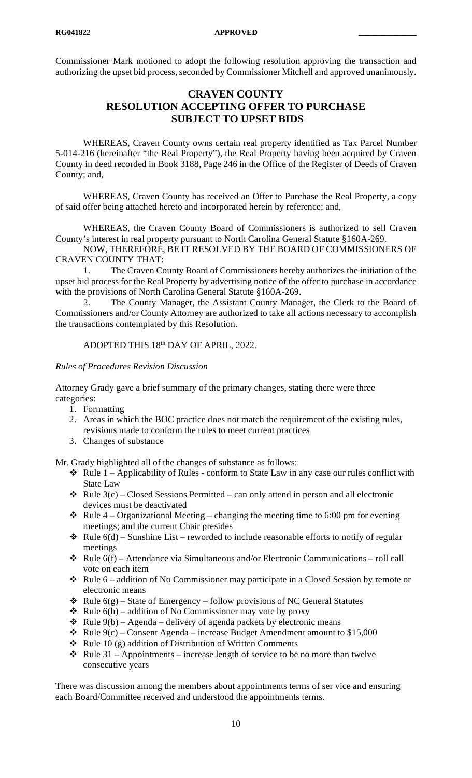Commissioner Mark motioned to adopt the following resolution approving the transaction and authorizing the upset bid process, seconded by Commissioner Mitchell and approved unanimously.

# **CRAVEN COUNTY RESOLUTION ACCEPTING OFFER TO PURCHASE SUBJECT TO UPSET BIDS**

WHEREAS, Craven County owns certain real property identified as Tax Parcel Number 5-014-216 (hereinafter "the Real Property"), the Real Property having been acquired by Craven County in deed recorded in Book 3188, Page 246 in the Office of the Register of Deeds of Craven County; and,

WHEREAS, Craven County has received an Offer to Purchase the Real Property, a copy of said offer being attached hereto and incorporated herein by reference; and,

WHEREAS, the Craven County Board of Commissioners is authorized to sell Craven County's interest in real property pursuant to North Carolina General Statute §160A-269.

NOW, THEREFORE, BE IT RESOLVED BY THE BOARD OF COMMISSIONERS OF CRAVEN COUNTY THAT:

1. The Craven County Board of Commissioners hereby authorizes the initiation of the upset bid process for the Real Property by advertising notice of the offer to purchase in accordance with the provisions of North Carolina General Statute §160A-269.

2. The County Manager, the Assistant County Manager, the Clerk to the Board of Commissioners and/or County Attorney are authorized to take all actions necessary to accomplish the transactions contemplated by this Resolution.

# ADOPTED THIS 18th DAY OF APRIL, 2022.

#### *Rules of Procedures Revision Discussion*

Attorney Grady gave a brief summary of the primary changes, stating there were three categories:

- 1. Formatting
- 2. Areas in which the BOC practice does not match the requirement of the existing rules, revisions made to conform the rules to meet current practices
- 3. Changes of substance

Mr. Grady highlighted all of the changes of substance as follows:

- Rule 1 Applicability of Rules conform to State Law in any case our rules conflict with State Law
- $\triangleleft$  Rule 3(c) Closed Sessions Permitted can only attend in person and all electronic devices must be deactivated
- $\cdot$  Rule 4 Organizational Meeting changing the meeting time to 6:00 pm for evening meetings; and the current Chair presides
- $\triangleleft$  Rule 6(d) Sunshine List reworded to include reasonable efforts to notify of regular meetings
- $\triangleleft$  Rule 6(f) Attendance via Simultaneous and/or Electronic Communications roll call vote on each item
- $\triangleleft$  Rule 6 addition of No Commissioner may participate in a Closed Session by remote or electronic means
- $\triangleleft$  Rule 6(g) State of Emergency follow provisions of NC General Statutes
- $\triangleleft$  Rule 6(h) addition of No Commissioner may vote by proxy
- $\triangleleft$  Rule 9(b) Agenda delivery of agenda packets by electronic means
- $\cdot$  Rule 9(c) Consent Agenda increase Budget Amendment amount to \$15,000
- $\triangleleft$  Rule 10 (g) addition of Distribution of Written Comments
- $\cdot \cdot$  Rule 31 Appointments increase length of service to be no more than twelve consecutive years

There was discussion among the members about appointments terms of ser vice and ensuring each Board/Committee received and understood the appointments terms.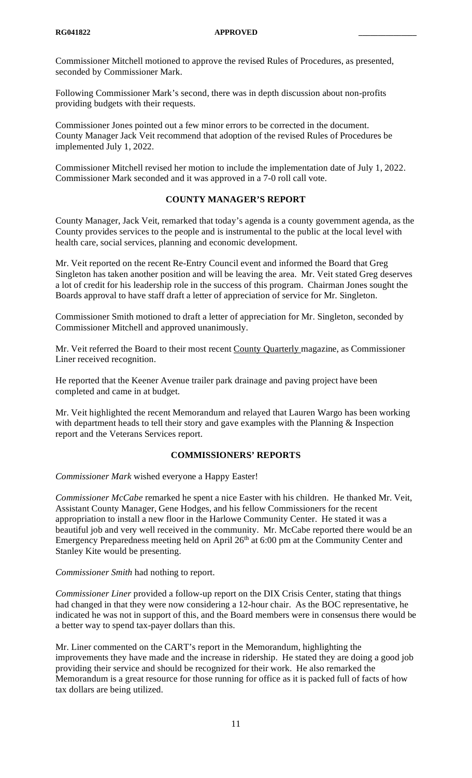Commissioner Mitchell motioned to approve the revised Rules of Procedures, as presented, seconded by Commissioner Mark.

Following Commissioner Mark's second, there was in depth discussion about non-profits providing budgets with their requests.

Commissioner Jones pointed out a few minor errors to be corrected in the document. County Manager Jack Veit recommend that adoption of the revised Rules of Procedures be implemented July 1, 2022.

Commissioner Mitchell revised her motion to include the implementation date of July 1, 2022. Commissioner Mark seconded and it was approved in a 7-0 roll call vote.

#### **COUNTY MANAGER'S REPORT**

County Manager, Jack Veit, remarked that today's agenda is a county government agenda, as the County provides services to the people and is instrumental to the public at the local level with health care, social services, planning and economic development.

Mr. Veit reported on the recent Re-Entry Council event and informed the Board that Greg Singleton has taken another position and will be leaving the area. Mr. Veit stated Greg deserves a lot of credit for his leadership role in the success of this program. Chairman Jones sought the Boards approval to have staff draft a letter of appreciation of service for Mr. Singleton.

Commissioner Smith motioned to draft a letter of appreciation for Mr. Singleton, seconded by Commissioner Mitchell and approved unanimously.

Mr. Veit referred the Board to their most recent County Quarterly magazine, as Commissioner Liner received recognition.

He reported that the Keener Avenue trailer park drainage and paving project have been completed and came in at budget.

Mr. Veit highlighted the recent Memorandum and relayed that Lauren Wargo has been working with department heads to tell their story and gave examples with the Planning & Inspection report and the Veterans Services report.

# **COMMISSIONERS' REPORTS**

*Commissioner Mark* wished everyone a Happy Easter!

*Commissioner McCabe* remarked he spent a nice Easter with his children. He thanked Mr. Veit, Assistant County Manager, Gene Hodges, and his fellow Commissioners for the recent appropriation to install a new floor in the Harlowe Community Center. He stated it was a beautiful job and very well received in the community. Mr. McCabe reported there would be an Emergency Preparedness meeting held on April  $26<sup>th</sup>$  at 6:00 pm at the Community Center and Stanley Kite would be presenting.

*Commissioner Smith* had nothing to report.

*Commissioner Liner* provided a follow-up report on the DIX Crisis Center, stating that things had changed in that they were now considering a 12-hour chair. As the BOC representative, he indicated he was not in support of this, and the Board members were in consensus there would be a better way to spend tax-payer dollars than this.

Mr. Liner commented on the CART's report in the Memorandum, highlighting the improvements they have made and the increase in ridership. He stated they are doing a good job providing their service and should be recognized for their work. He also remarked the Memorandum is a great resource for those running for office as it is packed full of facts of how tax dollars are being utilized.